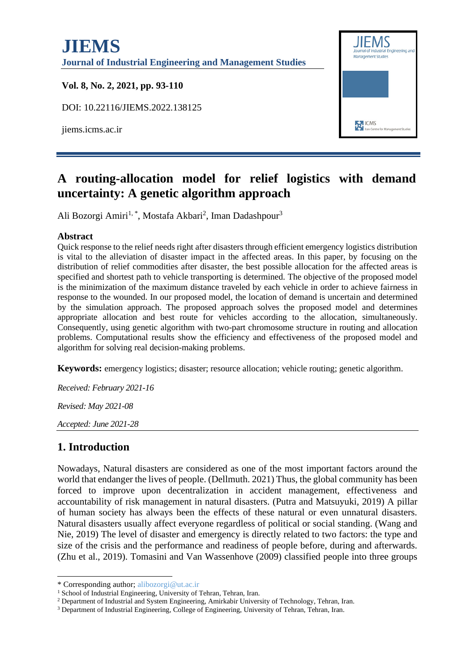

# **A routing-allocation model for relief logistics with demand uncertainty: A genetic algorithm approach**

Ali Bozorgi Amiri<sup>1,\*</sup>, Mostafa Akbari<sup>2</sup>, Iman Dadashpour<sup>3</sup>

#### **Abstract**

Quick response to the relief needs right after disasters through efficient emergency logistics distribution is vital to the alleviation of disaster impact in the affected areas. In this paper, by focusing on the distribution of relief commodities after disaster, the best possible allocation for the affected areas is specified and shortest path to vehicle transporting is determined. The objective of the proposed model is the minimization of the maximum distance traveled by each vehicle in order to achieve fairness in response to the wounded. In our proposed model, the location of demand is uncertain and determined by the simulation approach. The proposed approach solves the proposed model and determines appropriate allocation and best route for vehicles according to the allocation, simultaneously. Consequently, using genetic algorithm with two-part chromosome structure in routing and allocation problems. Computational results show the efficiency and effectiveness of the proposed model and algorithm for solving real decision-making problems.

**Keywords:** emergency logistics; disaster; resource allocation; vehicle routing; genetic algorithm.

*Received: February 2021-16*

*Revised: May 2021-08*

*Accepted: June 2021-28*

# **1. Introduction**

Nowadays, Natural disasters are considered as one of the most important factors around the world that endanger the lives of people. (Dellmuth. 2021) Thus, the global community has been forced to improve upon decentralization in accident management, effectiveness and accountability of risk management in natural disasters. (Putra and Matsuyuki, 2019) A pillar of human society has always been the effects of these natural or even unnatural disasters. Natural disasters usually affect everyone regardless of political or social standing. (Wang and Nie, 2019) The level of disaster and emergency is directly related to two factors: the type and size of the crisis and the performance and readiness of people before, during and afterwards. (Zhu et al., 2019). Tomasini and Van Wassenhove (2009) classified people into three groups

<sup>\*</sup> Corresponding author; alibozorgi@ut.ac.ir

<sup>&</sup>lt;sup>1</sup> School of Industrial Engineering, University of Tehran, Tehran, Iran.

<sup>&</sup>lt;sup>2</sup> Department of Industrial and System Engineering, Amirkabir University of Technology, Tehran, Iran.

<sup>3</sup> Department of Industrial Engineering, College of Engineering, University of Tehran, Tehran, Iran.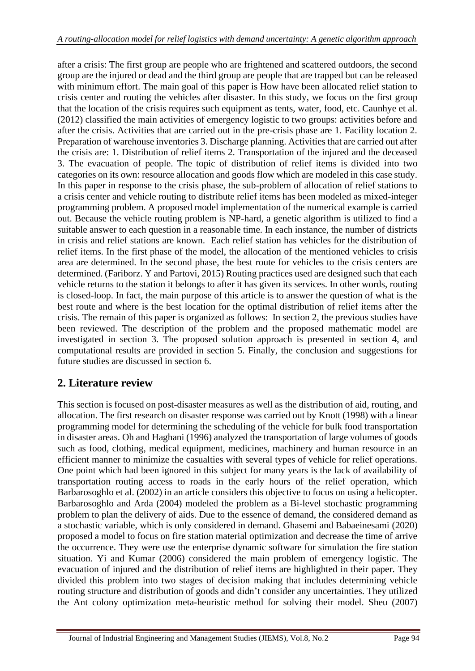after a crisis: The first group are people who are frightened and scattered outdoors, the second group are the injured or dead and the third group are people that are trapped but can be released with minimum effort. The main goal of this paper is How have been allocated relief station to crisis center and routing the vehicles after disaster. In this study, we focus on the first group that the location of the crisis requires such equipment as tents, water, food, etc. Caunhye et al. (2012) classified the main activities of emergency logistic to two groups: activities before and after the crisis. Activities that are carried out in the pre-crisis phase are 1. Facility location 2. Preparation of warehouse inventories 3. Discharge planning. Activities that are carried out after the crisis are: 1. Distribution of relief items 2. Transportation of the injured and the deceased 3. The evacuation of people. The topic of distribution of relief items is divided into two categories on its own: resource allocation and goods flow which are modeled in this case study. In this paper in response to the crisis phase, the sub-problem of allocation of relief stations to a crisis center and vehicle routing to distribute relief items has been modeled as mixed-integer programming problem. A proposed model implementation of the numerical example is carried out. Because the vehicle routing problem is NP-hard, a genetic algorithm is utilized to find a suitable answer to each question in a reasonable time. In each instance, the number of districts in crisis and relief stations are known. Each relief station has vehicles for the distribution of relief items. In the first phase of the model, the allocation of the mentioned vehicles to crisis area are determined. In the second phase, the best route for vehicles to the crisis centers are determined. (Fariborz. Y and Partovi, 2015) Routing practices used are designed such that each vehicle returns to the station it belongs to after it has given its services. In other words, routing is closed-loop. In fact, the main purpose of this article is to answer the question of what is the best route and where is the best location for the optimal distribution of relief items after the crisis. The remain of this paper is organized as follows: In section 2, the previous studies have been reviewed. The description of the problem and the proposed mathematic model are investigated in section 3. The proposed solution approach is presented in section 4, and computational results are provided in section 5. Finally, the conclusion and suggestions for future studies are discussed in section 6.

# **2. Literature review**

This section is focused on post-disaster measures as well as the distribution of aid, routing, and allocation. The first research on disaster response was carried out by Knott (1998) with a linear programming model for determining the scheduling of the vehicle for bulk food transportation in disaster areas. Oh and Haghani (1996) analyzed the transportation of large volumes of goods such as food, clothing, medical equipment, medicines, machinery and human resource in an efficient manner to minimize the casualties with several types of vehicle for relief operations. One point which had been ignored in this subject for many years is the lack of availability of transportation routing access to roads in the early hours of the relief operation, which Barbarosoghlo et al. (2002) in an article considers this objective to focus on using a helicopter. Barbarosoghlo and Arda (2004) modeled the problem as a Bi-level stochastic programming problem to plan the delivery of aids. Due to the essence of demand, the considered demand as a stochastic variable, which is only considered in demand. Ghasemi and Babaeinesami (2020) proposed a model to focus on fire station material optimization and decrease the time of arrive the occurrence. They were use the enterprise dynamic software for simulation the fire station situation. Yi and Kumar (2006) considered the main problem of emergency logistic. The evacuation of injured and the distribution of relief items are highlighted in their paper. They divided this problem into two stages of decision making that includes determining vehicle routing structure and distribution of goods and didn't consider any uncertainties. They utilized the Ant colony optimization meta-heuristic method for solving their model. Sheu (2007)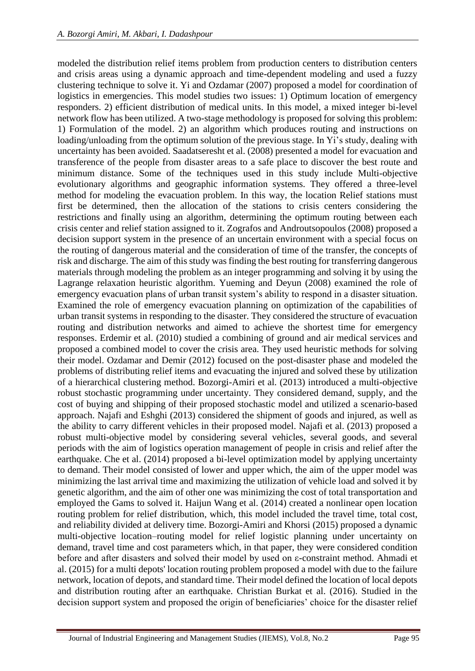modeled the distribution relief items problem from production centers to distribution centers and crisis areas using a dynamic approach and time-dependent modeling and used a fuzzy clustering technique to solve it. Yi and Ozdamar (2007) proposed a model for coordination of logistics in emergencies. This model studies two issues: 1) Optimum location of emergency responders. 2) efficient distribution of medical units. In this model, a mixed integer bi-level network flow has been utilized. A two-stage methodology is proposed for solving this problem: 1) Formulation of the model. 2) an algorithm which produces routing and instructions on loading/unloading from the optimum solution of the previous stage. In Yi's study, dealing with uncertainty has been avoided. Saadatseresht et al. (2008) presented a model for evacuation and transference of the people from disaster areas to a safe place to discover the best route and minimum distance. Some of the techniques used in this study include Multi-objective evolutionary algorithms and geographic information systems. They offered a three-level method for modeling the evacuation problem. In this way, the location Relief stations must first be determined, then the allocation of the stations to crisis centers considering the restrictions and finally using an algorithm, determining the optimum routing between each crisis center and relief station assigned to it. Zografos and Androutsopoulos (2008) proposed a decision support system in the presence of an uncertain environment with a special focus on the routing of dangerous material and the consideration of time of the transfer, the concepts of risk and discharge. The aim of this study was finding the best routing for transferring dangerous materials through modeling the problem as an integer programming and solving it by using the Lagrange relaxation heuristic algorithm. Yueming and Deyun (2008) examined the role of emergency evacuation plans of urban transit system's ability to respond in a disaster situation. Examined the role of emergency evacuation planning on optimization of the capabilities of urban transit systems in responding to the disaster. They considered the structure of evacuation routing and distribution networks and aimed to achieve the shortest time for emergency responses. Erdemir et al. (2010) studied a combining of ground and air medical services and proposed a combined model to cover the crisis area. They used heuristic methods for solving their model. Ozdamar and Demir (2012) focused on the post-disaster phase and modeled the problems of distributing relief items and evacuating the injured and solved these by utilization of a hierarchical clustering method. Bozorgi-Amiri et al. (2013) introduced a multi-objective robust stochastic programming under uncertainty. They considered demand, supply, and the cost of buying and shipping of their proposed stochastic model and utilized a scenario-based approach. Najafi and Eshghi (2013) considered the shipment of goods and injured, as well as the ability to carry different vehicles in their proposed model. Najafi et al. (2013) proposed a robust multi-objective model by considering several vehicles, several goods, and several periods with the aim of logistics operation management of people in crisis and relief after the earthquake. Che et al. (2014) proposed a bi-level optimization model by applying uncertainty to demand. Their model consisted of lower and upper which, the aim of the upper model was minimizing the last arrival time and maximizing the utilization of vehicle load and solved it by genetic algorithm, and the aim of other one was minimizing the cost of total transportation and employed the Gams to solved it. Haijun Wang et al. (2014) created a nonlinear open location routing problem for relief distribution, which, this model included the travel time, total cost, and reliability divided at delivery time. Bozorgi-Amiri and Khorsi (2015) proposed a dynamic multi-objective location–routing model for relief logistic planning under uncertainty on demand, travel time and cost parameters which, in that paper, they were considered condition before and after disasters and solved their model by used on ε-constraint method. Ahmadi et al. (2015) for a multi depots' location routing problem proposed a model with due to the failure network, location of depots, and standard time. Their model defined the location of local depots and distribution routing after an earthquake. Christian Burkat et al. (2016). Studied in the decision support system and proposed the origin of beneficiaries' choice for the disaster relief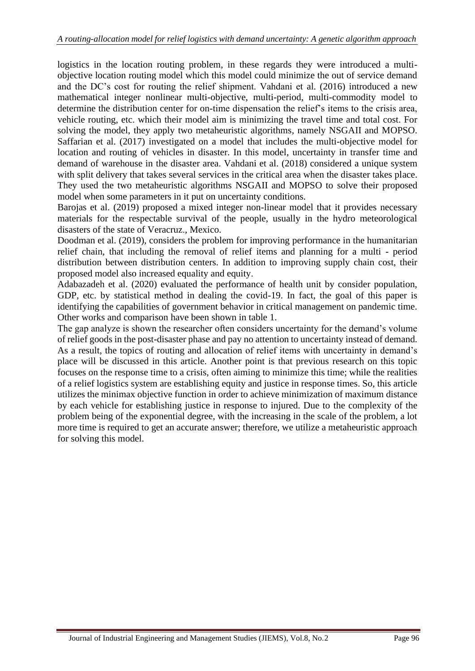logistics in the location routing problem, in these regards they were introduced a multiobjective location routing model which this model could minimize the out of service demand and the DC's cost for routing the relief shipment. Vahdani et al. (2016) introduced a new mathematical integer nonlinear multi-objective, multi-period, multi-commodity model to determine the distribution center for on-time dispensation the relief's items to the crisis area, vehicle routing, etc. which their model aim is minimizing the travel time and total cost. For solving the model, they apply two metaheuristic algorithms, namely NSGAII and MOPSO. Saffarian et al. (2017) investigated on a model that includes the multi-objective model for location and routing of vehicles in disaster. In this model, uncertainty in transfer time and demand of warehouse in the disaster area. Vahdani et al. (2018) considered a unique system with split delivery that takes several services in the critical area when the disaster takes place. They used the two metaheuristic algorithms NSGAII and MOPSO to solve their proposed model when some parameters in it put on uncertainty conditions.

Barojas et al. (2019) proposed a mixed integer non-linear model that it provides necessary materials for the respectable survival of the people, usually in the hydro meteorological disasters of the state of Veracruz., Mexico.

Doodman et al. (2019), considers the problem for improving performance in the humanitarian relief chain, that including the removal of relief items and planning for a multi - period distribution between distribution centers. In addition to improving supply chain cost, their proposed model also increased equality and equity.

Adabazadeh et al. (2020) evaluated the performance of health unit by consider population, GDP, etc. by statistical method in dealing the covid-19. In fact, the goal of this paper is identifying the capabilities of government behavior in critical management on pandemic time. Other works and comparison have been shown in table 1.

The gap analyze is shown the researcher often considers uncertainty for the demand's volume of relief goods in the post-disaster phase and pay no attention to uncertainty instead of demand. As a result, the topics of routing and allocation of relief items with uncertainty in demand's place will be discussed in this article. Another point is that previous research on this topic focuses on the response time to a crisis, often aiming to minimize this time; while the realities of a relief logistics system are establishing equity and justice in response times. So, this article utilizes the minimax objective function in order to achieve minimization of maximum distance by each vehicle for establishing justice in response to injured. Due to the complexity of the problem being of the exponential degree, with the increasing in the scale of the problem, a lot more time is required to get an accurate answer; therefore, we utilize a metaheuristic approach for solving this model.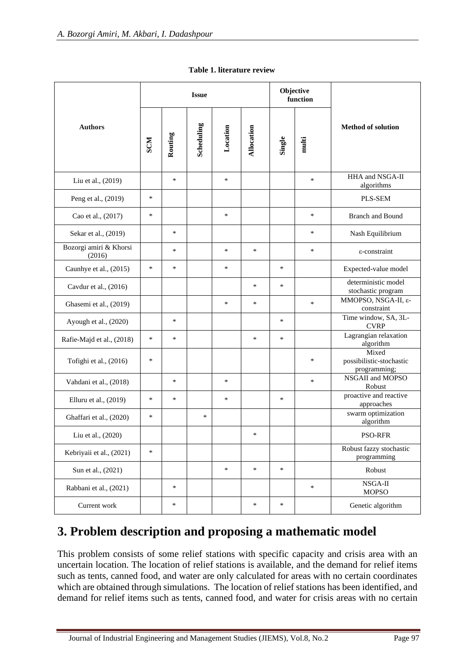|                                  | <b>Issue</b> |         |            |          |            |        | Objective<br>function |                                                   |  |
|----------------------------------|--------------|---------|------------|----------|------------|--------|-----------------------|---------------------------------------------------|--|
| <b>Authors</b>                   | <b>NOS</b>   | Routing | Scheduling | Location | Allocation | Single | multi                 | <b>Method of solution</b>                         |  |
| Liu et al., (2019)               |              | *       |            | *        |            |        | ∗                     | HHA and NSGA-II<br>algorithms                     |  |
| Peng et al., (2019)              | $\ast$       |         |            |          |            |        |                       | PLS-SEM                                           |  |
| Cao et al., (2017)               | $\ast$       |         |            | $\ast$   |            |        | $\ast$                | <b>Branch and Bound</b>                           |  |
| Sekar et al., (2019)             |              | $\ast$  |            |          |            |        | *                     | Nash Equilibrium                                  |  |
| Bozorgi amiri & Khorsi<br>(2016) |              | *       |            | $\ast$   | $\ast$     |        | ∗                     | ε-constraint                                      |  |
| Caunhye et al., (2015)           | $\ast$       | ∗       |            | *        |            | $\ast$ |                       | Expected-value model                              |  |
| Cavdur et al., (2016)            |              |         |            |          | $\ast$     | $\ast$ |                       | deterministic model<br>stochastic program         |  |
| Ghasemi et al., (2019)           |              |         |            | $\ast$   | *          |        | $\ast$                | MMOPSO, NSGA-II, ε-<br>constraint                 |  |
| Ayough et al., (2020)            |              | ∗       |            |          |            | $\ast$ |                       | Time window, SA, 3L-<br><b>CVRP</b>               |  |
| Rafie-Majd et al., (2018)        | *            | $\ast$  |            |          | $\ast$     | $\ast$ |                       | Lagrangian relaxation<br>algorithm                |  |
| Tofighi et al., (2016)           | *            |         |            |          |            |        | *                     | Mixed<br>possibilistic-stochastic<br>programming; |  |
| Vahdani et al., (2018)           |              | ∗       |            | $\ast$   |            |        | $\ast$                | NSGAII and MOPSO<br>Robust                        |  |
| Elluru et al., (2019)            | *            | ∗       |            | $\ast$   |            | $\ast$ |                       | proactive and reactive<br>approaches              |  |
| Ghaffari et al., (2020)          | *            |         | *          |          |            |        |                       | swarm optimization<br>algorithm                   |  |
| Liu et al., (2020)               |              |         |            |          | *          |        |                       | <b>PSO-RFR</b>                                    |  |
| Kebriyaii et al., (2021)         | $\ast$       |         |            |          |            |        |                       | Robust fazzy stochastic<br>programming            |  |
| Sun et al., (2021)               |              |         |            | $\ast$   | $\ast$     | $\ast$ |                       | Robust                                            |  |
| Rabbani et al., (2021)           |              | $\ast$  |            |          |            |        | $\ast$                | NSGA-II<br><b>MOPSO</b>                           |  |
| Current work                     |              | $\ast$  |            |          | $\ast$     | $\ast$ |                       | Genetic algorithm                                 |  |

**Table 1. literature review**

# **3. Problem description and proposing a mathematic model**

This problem consists of some relief stations with specific capacity and crisis area with an uncertain location. The location of relief stations is available, and the demand for relief items such as tents, canned food, and water are only calculated for areas with no certain coordinates which are obtained through simulations. The location of relief stations has been identified, and demand for relief items such as tents, canned food, and water for crisis areas with no certain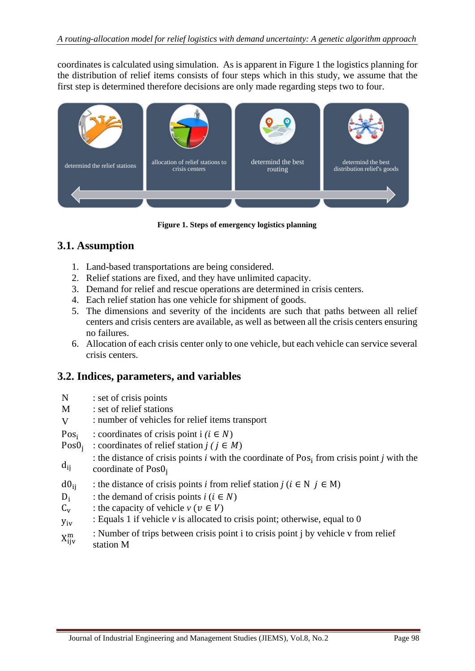coordinates is calculated using simulation. As is apparent in Figure 1 the logistics planning for the distribution of relief items consists of four steps which in this study, we assume that the first step is determined therefore decisions are only made regarding steps two to four.



**Figure 1. Steps of emergency logistics planning**

### **3.1. Assumption**

- 1. Land-based transportations are being considered.
- 2. Relief stations are fixed, and they have unlimited capacity.
- 3. Demand for relief and rescue operations are determined in crisis centers.
- 4. Each relief station has one vehicle for shipment of goods.
- 5. The dimensions and severity of the incidents are such that paths between all relief centers and crisis centers are available, as well as between all the crisis centers ensuring no failures.
- 6. Allocation of each crisis center only to one vehicle, but each vehicle can service several crisis centers.

### **3.2. Indices, parameters, and variables**

- N : set of crisis points
- M : set of relief stations
- V : number of vehicles for relief items transport
- Pos<sup>i</sup> : coordinates of crisis point  $i$  ( $i \in N$ )
- Pos0<sub>i</sub> : coordinates of relief station  $j$  ( $j \in M$ )
- $d_{ii}$ : the distance of crisis points  $i$  with the coordinate of Pos<sub>i</sub> from crisis point  $j$  with the coordinate of Pos0<sub>i</sub>
- $d0_{ii}$  : the distance of crisis points *i* from relief station  $j$  ( $i \in N$   $j \in M$ )
- $D_i$ : the demand of crisis points  $i$  ( $i \in N$ )
- $C_v$  : the capacity of vehicle  $v (v \in V)$
- $y_{iv}$  : Equals 1 if vehicle *v* is allocated to crisis point; otherwise, equal to 0
- $X_{\text{ii}v}^{\text{m}}$ : Number of trips between crisis point i to crisis point j by vehicle v from relief station M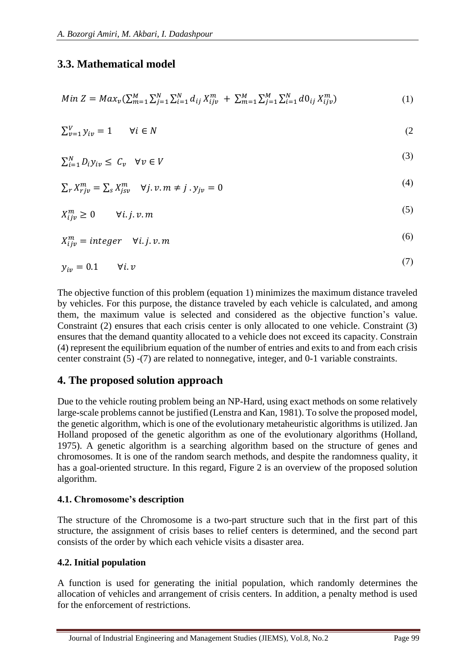# **3.3. Mathematical model**

$$
Min Z = Max_v(\sum_{m=1}^{M} \sum_{j=1}^{N} \sum_{i=1}^{N} d_{ij} X_{ijv}^{m} + \sum_{m=1}^{M} \sum_{j=1}^{M} \sum_{i=1}^{N} d\theta_{ij} X_{ijv}^{m})
$$
(1)

$$
\sum_{v=1}^{V} y_{iv} = 1 \qquad \forall i \in N \tag{2}
$$

$$
\sum_{i=1}^{N} D_i y_{iv} \le C_v \quad \forall v \in V \tag{3}
$$

$$
\sum_{r} X_{rj\nu}^{m} = \sum_{s} X_{js\nu}^{m} \quad \forall j. \, v. \, m \neq j \, . \, y_{j\nu} = 0 \tag{4}
$$

$$
X_{ijv}^m \ge 0 \t\t \forall i. j. v. m
$$
\n
$$
(5)
$$

$$
X_{ijv}^m = integer \quad \forall i. j. v. m \tag{6}
$$

$$
y_{iv} = 0.1 \qquad \forall i. \, v \tag{7}
$$

The objective function of this problem (equation 1) minimizes the maximum distance traveled by vehicles. For this purpose, the distance traveled by each vehicle is calculated, and among them, the maximum value is selected and considered as the objective function's value. Constraint (2) ensures that each crisis center is only allocated to one vehicle. Constraint (3) ensures that the demand quantity allocated to a vehicle does not exceed its capacity. Constrain (4) represent the equilibrium equation of the number of entries and exits to and from each crisis center constraint (5) -(7) are related to nonnegative, integer, and 0-1 variable constraints.

# **4. The proposed solution approach**

Due to the vehicle routing problem being an NP-Hard, using exact methods on some relatively large-scale problems cannot be justified (Lenstra and Kan, 1981). To solve the proposed model, the genetic algorithm, which is one of the evolutionary metaheuristic algorithms is utilized. Jan Holland proposed of the genetic algorithm as one of the evolutionary algorithms (Holland, 1975). A genetic algorithm is a searching algorithm based on the structure of genes and chromosomes. It is one of the random search methods, and despite the randomness quality, it has a goal-oriented structure. In this regard, Figure 2 is an overview of the proposed solution algorithm.

### **4.1. Chromosome's description**

The structure of the Chromosome is a two-part structure such that in the first part of this structure, the assignment of crisis bases to relief centers is determined, and the second part consists of the order by which each vehicle visits a disaster area.

#### **4.2. Initial population**

A function is used for generating the initial population, which randomly determines the allocation of vehicles and arrangement of crisis centers. In addition, a penalty method is used for the enforcement of restrictions.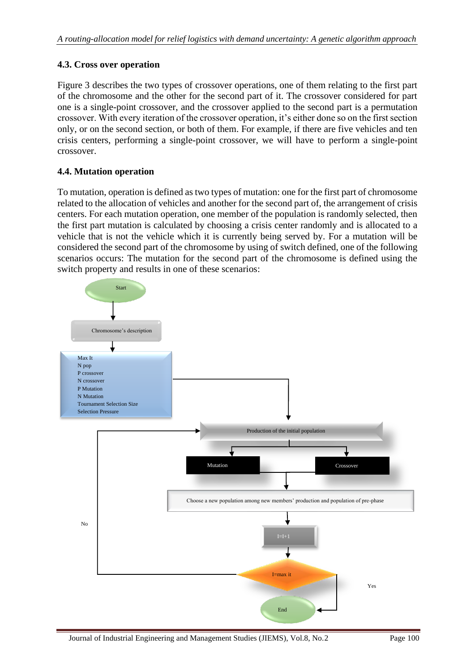#### **4.3. Cross over operation**

Figure 3 describes the two types of crossover operations, one of them relating to the first part of the chromosome and the other for the second part of it. The crossover considered for part one is a single-point crossover, and the crossover applied to the second part is a permutation crossover. With every iteration of the crossover operation, it's either done so on the first section only, or on the second section, or both of them. For example, if there are five vehicles and ten crisis centers, performing a single-point crossover, we will have to perform a single-point crossover.

#### **4.4. Mutation operation**

To mutation, operation is defined as two types of mutation: one for the first part of chromosome related to the allocation of vehicles and another for the second part of, the arrangement of crisis centers. For each mutation operation, one member of the population is randomly selected, then the first part mutation is calculated by choosing a crisis center randomly and is allocated to a vehicle that is not the vehicle which it is currently being served by. For a mutation will be considered the second part of the chromosome by using of switch defined, one of the following scenarios occurs: The mutation for the second part of the chromosome is defined using the switch property and results in one of these scenarios:

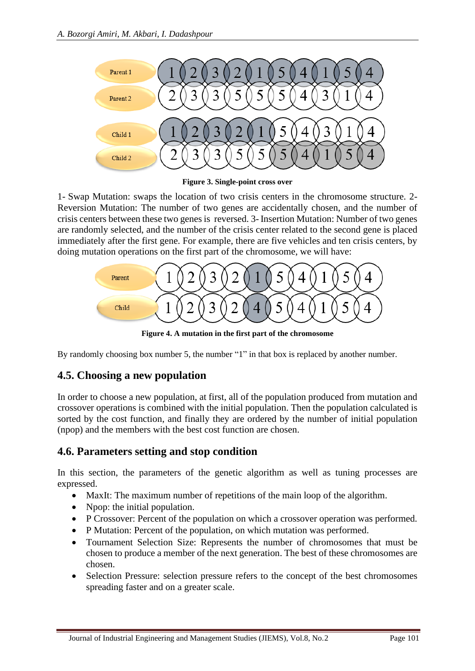

**Figure 3. Single-point cross over**

1- Swap Mutation: swaps the location of two crisis centers in the chromosome structure. 2- Reversion Mutation: The number of two genes are accidentally chosen, and the number of crisis centers between these two genes is reversed. 3- Insertion Mutation: Number of two genes are randomly selected, and the number of the crisis center related to the second gene is placed immediately after the first gene. For example, there are five vehicles and ten crisis centers, by doing mutation operations on the first part of the chromosome, we will have:



**Figure 4. A mutation in the first part of the chromosome**

By randomly choosing box number 5, the number "1" in that box is replaced by another number.

# **4.5. Choosing a new population**

In order to choose a new population, at first, all of the population produced from mutation and crossover operations is combined with the initial population. Then the population calculated is sorted by the cost function, and finally they are ordered by the number of initial population (npop) and the members with the best cost function are chosen.

# **4.6. Parameters setting and stop condition**

In this section, the parameters of the genetic algorithm as well as tuning processes are expressed.

- MaxIt: The maximum number of repetitions of the main loop of the algorithm.
- Npop: the initial population.
- P Crossover: Percent of the population on which a crossover operation was performed.
- P Mutation: Percent of the population, on which mutation was performed.
- Tournament Selection Size: Represents the number of chromosomes that must be chosen to produce a member of the next generation. The best of these chromosomes are chosen.
- Selection Pressure: selection pressure refers to the concept of the best chromosomes spreading faster and on a greater scale.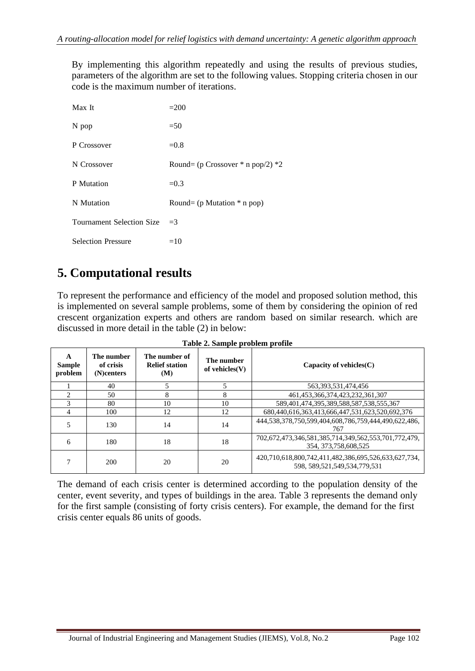By implementing this algorithm repeatedly and using the results of previous studies, parameters of the algorithm are set to the following values. Stopping criteria chosen in our code is the maximum number of iterations.

| Max It                           | $=200$                                |
|----------------------------------|---------------------------------------|
| N pop                            | $=50$                                 |
| P Crossover                      | $=0.8$                                |
| N Crossover                      | Round= (p Crossover $*$ n pop/2) $*2$ |
| P Mutation                       | $=0.3$                                |
| N Mutation                       | Round= $(p$ Mutation $*$ n pop)       |
| <b>Tournament Selection Size</b> | $=$ 3                                 |
| <b>Selection Pressure</b>        | $=10$                                 |

# **5. Computational results**

To represent the performance and efficiency of the model and proposed solution method, this is implemented on several sample problems, some of them by considering the opinion of red crescent organization experts and others are random based on similar research. which are discussed in more detail in the table (2) in below:

| A<br><b>Sample</b><br>problem | The number<br>of crisis<br>(N)centers | The number of<br><b>Relief station</b><br>(M) | The number<br>of vehicles $(V)$ | Capacity of vehicles $(C)$                                                                |  |  |  |  |  |
|-------------------------------|---------------------------------------|-----------------------------------------------|---------------------------------|-------------------------------------------------------------------------------------------|--|--|--|--|--|
|                               | 40                                    |                                               |                                 | 563, 393, 531, 474, 456                                                                   |  |  |  |  |  |
| $\mathfrak{D}$                | 50                                    | 8                                             | 8                               | 461.453.366.374.423.232.361.307                                                           |  |  |  |  |  |
| 3                             | 80                                    | 10                                            | 10                              | 589,401,474,395,389,588,587,538,555,367                                                   |  |  |  |  |  |
| 4                             | 100                                   | 12                                            | 12                              | 680.440.616.363.413.666.447.531.623.520.692.376                                           |  |  |  |  |  |
|                               | 130                                   | 14                                            | 14                              | 444,538,378,750,599,404,608,786,759,444,490,622,486,<br>767                               |  |  |  |  |  |
| 6                             | 180                                   | 18                                            | 18                              | 702,672,473,346,581,385,714,349,562,553,701,772,479,<br>354, 373, 758, 608, 525           |  |  |  |  |  |
|                               | 200                                   | 20                                            | 20                              | 420,710,618,800,742,411,482,386,695,526,633,627,734,<br>598, 589, 521, 549, 534, 779, 531 |  |  |  |  |  |

**Table 2. Sample problem profile**

The demand of each crisis center is determined according to the population density of the center, event severity, and types of buildings in the area. Table 3 represents the demand only for the first sample (consisting of forty crisis centers). For example, the demand for the first crisis center equals 86 units of goods.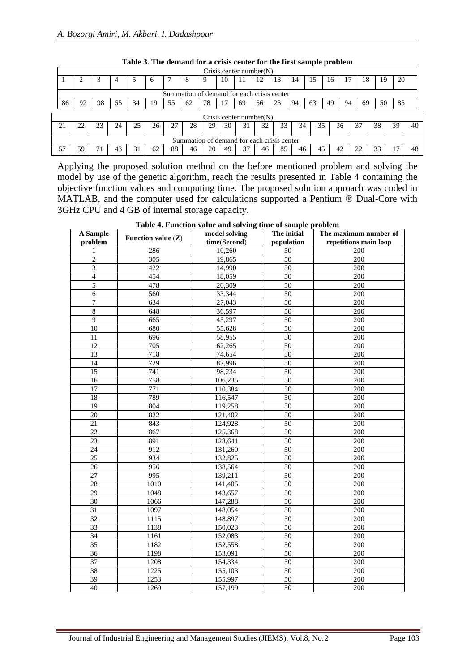|                   |                                            |    |    |    |          |    |    |    |    |         | Crisis center number $(N)$ |    |    |    |    |    |    |    |    |    |
|-------------------|--------------------------------------------|----|----|----|----------|----|----|----|----|---------|----------------------------|----|----|----|----|----|----|----|----|----|
|                   |                                            |    | 4  | C  | $\sigma$ |    | x  |    | 10 | $\perp$ | 12                         | 13 | 14 | 15 | 16 | 17 | 18 | 19 | 20 |    |
|                   | Summation of demand for each crisis center |    |    |    |          |    |    |    |    |         |                            |    |    |    |    |    |    |    |    |    |
| 86                | 92                                         | 98 | 55 | 34 | 19       | 55 | 62 | 78 |    | 69      | 56                         | 25 | 94 | 63 | 49 | 94 | 69 | 50 | 85 |    |
|                   | Crisis center number $(N)$                 |    |    |    |          |    |    |    |    |         |                            |    |    |    |    |    |    |    |    |    |
| $\mathcal{L}_{1}$ | 22                                         | 23 | 24 | 25 | 26       | 27 | 28 | 29 | 30 |         | 32                         | 33 | 34 | 35 |    | 36 | 37 | 38 | 39 | 40 |
|                   | Summation of demand for each crisis center |    |    |    |          |    |    |    |    |         |                            |    |    |    |    |    |    |    |    |    |
|                   | 59                                         |    |    |    | 62       | 88 | 46 | 20 | 49 |         | 46                         | 85 | 46 | 45 | 42 |    |    | 33 |    | 48 |

**Table 3. The demand for a crisis center for the first sample problem**

Applying the proposed solution method on the before mentioned problem and solving the model by use of the genetic algorithm, reach the results presented in Table 4 containing the objective function values and computing time. The proposed solution approach was coded in MATLAB, and the computer used for calculations supported a Pentium ® Dual-Core with 3GHz CPU and 4 GB of internal storage capacity.

| A Sample<br>problem | Function value $(Z)$ | model solving<br>time(Second) |                  | The maximum number of<br>repetitions main loop |  |  |
|---------------------|----------------------|-------------------------------|------------------|------------------------------------------------|--|--|
| 1                   | 286                  | 10,260                        | population<br>50 | 200                                            |  |  |
| $\overline{c}$      | 305                  | 19,865                        | 50               | 200                                            |  |  |
| $\overline{3}$      | 422                  | 14,990                        | $\overline{50}$  | 200                                            |  |  |
| $\overline{4}$      | 454                  | 18,059                        | $\overline{50}$  | 200                                            |  |  |
| $\overline{5}$      | 478                  | 20,309                        | 50               | 200                                            |  |  |
| 6                   | 560                  | 33,344                        | 50               | 200                                            |  |  |
| $\overline{7}$      | 634                  | 27,043                        | 50               | 200                                            |  |  |
| $\overline{8}$      | 648                  | 36,597                        | $\overline{50}$  | 200                                            |  |  |
| $\overline{9}$      | 665                  | 45,297                        | $\overline{50}$  | 200                                            |  |  |
| $\overline{10}$     | 680                  | 55,628                        | $\overline{50}$  | 200                                            |  |  |
| 11                  | 696                  | 58,955                        | 50               | 200                                            |  |  |
| 12                  | 705                  | 62,265                        | 50               | 200                                            |  |  |
| $\overline{13}$     | 718                  | 74,654                        | $\overline{50}$  | 200                                            |  |  |
| $\overline{14}$     | $\overline{729}$     | 87,996                        | 50               | 200                                            |  |  |
| 15                  | 741                  | 98,234                        | 50               | 200                                            |  |  |
| 16                  | 758                  | 106,235                       | 50               | 200                                            |  |  |
| 17                  | $\overline{771}$     | 110,384                       | $\overline{50}$  | 200                                            |  |  |
| 18                  | 789                  | 116,547                       | 50               | 200                                            |  |  |
| $\overline{19}$     | 804                  | 119,258                       | $\overline{50}$  | 200                                            |  |  |
| 20                  | 822                  | 121,402                       | 50               | 200                                            |  |  |
| $\overline{21}$     | 843                  | 124,928                       | $\overline{50}$  | 200                                            |  |  |
| $\overline{22}$     | 867                  | 125,368                       | 50               | 200                                            |  |  |
| $\overline{23}$     | 891                  | 128,641                       | $\overline{50}$  | 200                                            |  |  |
| 24                  | 912                  | 131,260                       | 50               | 200                                            |  |  |
| $\overline{25}$     | 934                  | 132,825                       | 50               | 200                                            |  |  |
| $\overline{26}$     | 956                  | 138,564                       | $\overline{50}$  | 200                                            |  |  |
| 27                  | 995                  | 139,211                       | 50               | 200                                            |  |  |
| 28                  | 1010                 | 141,405                       | 50               | 200                                            |  |  |
| 29                  | 1048                 | 143,657                       | 50               | 200                                            |  |  |
| $\overline{30}$     | 1066                 | 147,288                       | $\overline{50}$  | 200                                            |  |  |
| 31                  | 1097                 | 148,054                       | 50               | 200                                            |  |  |
| $\overline{32}$     | 1115                 | 148.897                       | 50               | 200                                            |  |  |
| 33                  | 1138                 | 150,023                       | 50               | 200                                            |  |  |
| 34                  | 1161                 | 152,083                       | 50               | 200                                            |  |  |
| $\overline{35}$     | 1182                 | 152,558                       | $\overline{50}$  | 200                                            |  |  |
| 36                  | 1198                 | 153,091                       | $\overline{50}$  | 200                                            |  |  |
| $\overline{37}$     | 1208                 | 154,334                       | $\overline{50}$  | 200                                            |  |  |
| 38                  | 1225                 | 155,103                       | 50               | 200                                            |  |  |
| $\overline{39}$     | 1253                 | 155,997                       | $\overline{50}$  | 200                                            |  |  |
| 40                  | 1269                 | 157,199                       | 50               | 200                                            |  |  |

**Table 4. Function value and solving time of sample problem**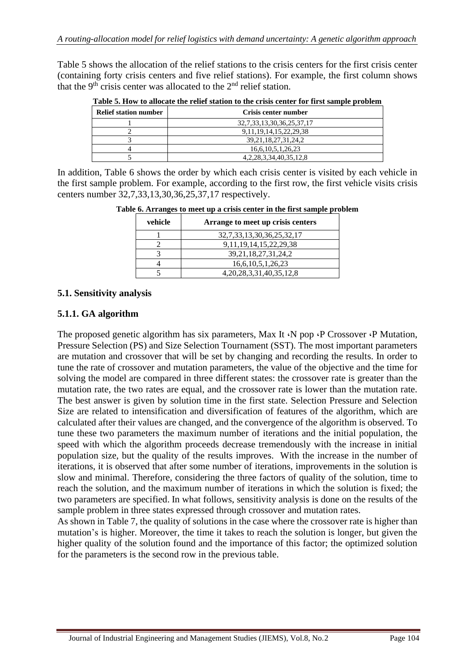Table 5 shows the allocation of the relief stations to the crisis centers for the first crisis center (containing forty crisis centers and five relief stations). For example, the first column shows that the  $9<sup>th</sup>$  crisis center was allocated to the  $2<sup>nd</sup>$  relief station.

| <b>Relief station number</b> | Crisis center number              |
|------------------------------|-----------------------------------|
|                              | 32, 7, 33, 13, 30, 36, 25, 37, 17 |
|                              | 9, 11, 19, 14, 15, 22, 29, 38     |
|                              | 39, 21, 18, 27, 31, 24, 2         |
|                              | 16,6,10,5,1,26,23                 |
|                              | 4, 2, 28, 3, 34, 40, 35, 12, 8    |

**Table 5. How to allocate the relief station to the crisis center for first sample problem**

In addition, Table 6 shows the order by which each crisis center is visited by each vehicle in the first sample problem. For example, according to the first row, the first vehicle visits crisis centers number 32,7,33,13,30,36,25,37,17 respectively.

|         | Table 6. Arranges to meet up a crisis center in the first sample problem |  |
|---------|--------------------------------------------------------------------------|--|
| vehicle | Arrange to meet up crisis centers                                        |  |

| venicle | Arrange to meet up crisis centers |
|---------|-----------------------------------|
|         | 32, 7, 33, 13, 30, 36, 25, 32, 17 |
|         | 9, 11, 19, 14, 15, 22, 29, 38     |
|         | 39, 21, 18, 27, 31, 24, 2         |
|         | 16,6,10,5,1,26,23                 |
|         | 4, 20, 28, 3, 31, 40, 35, 12, 8   |

#### **5.1. Sensitivity analysis**

#### **5.1.1. GA algorithm**

The proposed genetic algorithm has six parameters, Max It  $\cdot$ N pop  $\cdot$ P Crossover  $\cdot$ P Mutation, Pressure Selection (PS) and Size Selection Tournament (SST). The most important parameters are mutation and crossover that will be set by changing and recording the results. In order to tune the rate of crossover and mutation parameters, the value of the objective and the time for solving the model are compared in three different states: the crossover rate is greater than the mutation rate, the two rates are equal, and the crossover rate is lower than the mutation rate. The best answer is given by solution time in the first state. Selection Pressure and Selection Size are related to intensification and diversification of features of the algorithm, which are calculated after their values are changed, and the convergence of the algorithm is observed. To tune these two parameters the maximum number of iterations and the initial population, the speed with which the algorithm proceeds decrease tremendously with the increase in initial population size, but the quality of the results improves. With the increase in the number of iterations, it is observed that after some number of iterations, improvements in the solution is slow and minimal. Therefore, considering the three factors of quality of the solution, time to reach the solution, and the maximum number of iterations in which the solution is fixed; the two parameters are specified. In what follows, sensitivity analysis is done on the results of the sample problem in three states expressed through crossover and mutation rates.

As shown in Table 7, the quality of solutions in the case where the crossover rate is higher than mutation's is higher. Moreover, the time it takes to reach the solution is longer, but given the higher quality of the solution found and the importance of this factor; the optimized solution for the parameters is the second row in the previous table.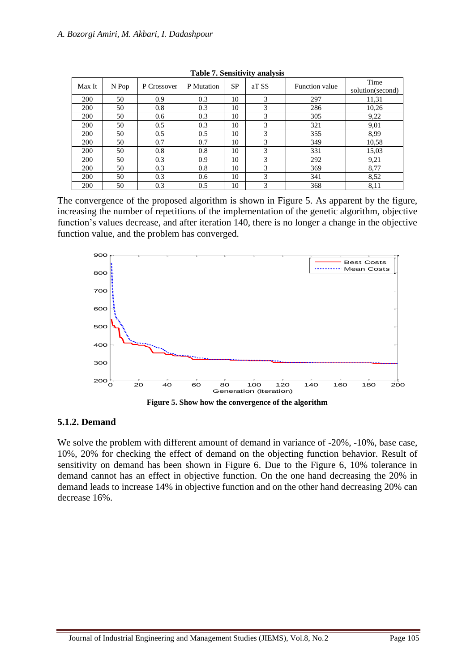| Max It | N Pop | P Crossover | P Mutation | <b>SP</b> | aT SS | Function value | Time<br>solution(second) |
|--------|-------|-------------|------------|-----------|-------|----------------|--------------------------|
| 200    | 50    | 0.9         | 0.3        | 10        | 3     | 297            | 11,31                    |
| 200    | 50    | 0.8         | 0.3        | 10        | 3     | 286            | 10,26                    |
| 200    | 50    | 0.6         | 0.3        | 10        | 3     | 305            | 9,22                     |
| 200    | 50    | 0.5         | 0.3        | 10        | 3     | 321            | 9,01                     |
| 200    | 50    | 0.5         | 0.5        | 10        | 3     | 355            | 8,99                     |
| 200    | 50    | 0.7         | 0.7        | 10        | 3     | 349            | 10,58                    |
| 200    | 50    | 0.8         | 0.8        | 10        | 3     | 331            | 15,03                    |
| 200    | 50    | 0.3         | 0.9        | 10        | 3     | 292            | 9,21                     |
| 200    | 50    | 0.3         | 0.8        | 10        | 3     | 369            | 8,77                     |
| 200    | 50    | 0.3         | 0.6        | 10        | 3     | 341            | 8,52                     |
| 200    | 50    | 0.3         | 0.5        | 10        | 3     | 368            | 8,11                     |

**Table 7. Sensitivity analysis**

The convergence of the proposed algorithm is shown in Figure 5. As apparent by the figure, increasing the number of repetitions of the implementation of the genetic algorithm, objective function's values decrease, and after iteration 140, there is no longer a change in the objective function value, and the problem has converged.



#### **5.1.2. Demand**

We solve the problem with different amount of demand in variance of  $-20\%$ ,  $-10\%$ , base case, 10%, 20% for checking the effect of demand on the objecting function behavior. Result of sensitivity on demand has been shown in Figure 6. Due to the Figure 6, 10% tolerance in demand cannot has an effect in objective function. On the one hand decreasing the 20% in demand leads to increase 14% in objective function and on the other hand decreasing 20% can decrease 16%.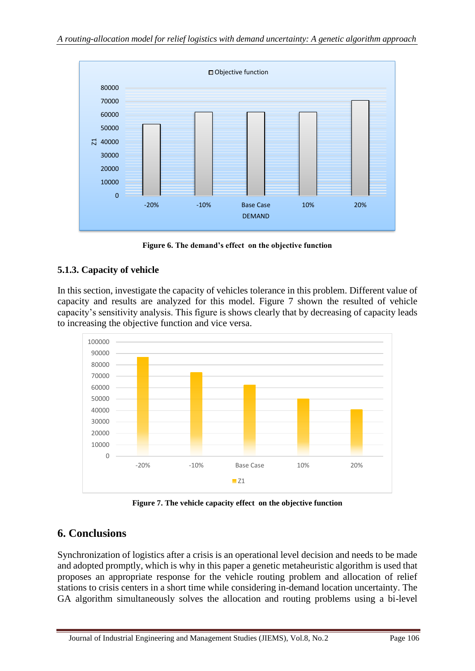

**Figure 6. The demand's effect on the objective function**

### **5.1.3. Capacity of vehicle**

In this section, investigate the capacity of vehicles tolerance in this problem. Different value of capacity and results are analyzed for this model. Figure 7 shown the resulted of vehicle capacity's sensitivity analysis. This figure is shows clearly that by decreasing of capacity leads to increasing the objective function and vice versa.



**Figure 7. The vehicle capacity effect on the objective function**

# **6. Conclusions**

Synchronization of logistics after a crisis is an operational level decision and needs to be made and adopted promptly, which is why in this paper a genetic metaheuristic algorithm is used that proposes an appropriate response for the vehicle routing problem and allocation of relief stations to crisis centers in a short time while considering in-demand location uncertainty. The GA algorithm simultaneously solves the allocation and routing problems using a bi-level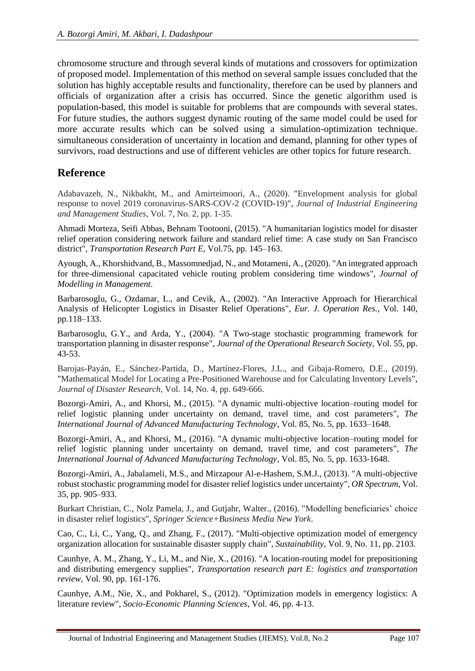chromosome structure and through several kinds of mutations and crossovers for optimization of proposed model. Implementation of this method on several sample issues concluded that the solution has highly acceptable results and functionality, therefore can be used by planners and officials of organization after a crisis has occurred. Since the genetic algorithm used is population-based, this model is suitable for problems that are compounds with several states. For future studies, the authors suggest dynamic routing of the same model could be used for more accurate results which can be solved using a simulation-optimization technique. simultaneous consideration of uncertainty in location and demand, planning for other types of survivors, road destructions and use of different vehicles are other topics for future research.

# **Reference**

Adabavazeh, N., Nikbakht, M., and Amirteimoori, A., (2020). "Envelopment analysis for global response to novel 2019 coronavirus-SARS-COV-2 (COVID-19)", *Journal of Industrial Engineering and Management Studies*, Vol. 7, No. 2, pp. 1-35.

Ahmadi Morteza, Seifi Abbas, Behnam Tootooni, (2015). "A humanitarian logistics model for disaster relief operation considering network failure and standard relief time: A case study on San Francisco district", *Transportation Research Part E*, Vol.75, pp. 145–163.

Ayough, A., Khorshidvand, B., Massomnedjad, N., and Motameni, A., (2020). "An integrated approach for three-dimensional capacitated vehicle routing problem considering time windows", *Journal of Modelling in Management*.

Barbarosoglu, G., Ozdamar, L., and Cevik, A., (2002). "An Interactive Approach for Hierarchical Analysis of Helicopter Logistics in Disaster Relief Operations", *Eur. J. Operation Res.*, Vol. 140, pp.118–133.

Barbarosoglu, G.Y., and Arda, Y., (2004). "A Two-stage stochastic programming framework for transportation planning in disaster response", *Journal of the Operational Research Society*, Vol. 55, pp. 43-53.

Barojas-Payán, E., Sánchez-Partida, D., Martínez-Flores, J.L., and Gibaja-Romero, D.E., (2019). "Mathematical Model for Locating a Pre-Positioned Warehouse and for Calculating Inventory Levels", *Journal of Disaster Research*, Vol. 14, No. 4, pp. 649-666.

Bozorgi-Amiri, A., and Khorsi, M., (2015). "A dynamic multi-objective location–routing model for relief logistic planning under uncertainty on demand, travel time, and cost parameters", *[The](http://link.springer.com/journal/170)  [International Journal of Advanced Manufacturing Technology](http://link.springer.com/journal/170)*, Vol. 85, No. 5, pp. 1633–1648.

Bozorgi-Amiri, A., and Khorsi, M., (2016). "A dynamic multi-objective location–routing model for relief logistic planning under uncertainty on demand, travel time, and cost parameters", *The International Journal of Advanced Manufacturing Technology*, Vol. 85, No. 5, pp. 1633-1648.

Bozorgi-Amiri, A., Jabalameli, M.S., and Mirzapour Al-e-Hashem, S.M.J., (2013). "A multi-objective robust stochastic programming model for disaster relief logistics under uncertainty", *OR Spectrum*, Vol. 35, pp. 905–933.

Burkart Christian, C., Nolz Pamela, J., and Gutjahr, Walter., (2016). "Modelling beneficiaries' choice in disaster relief logistics", *Springer Science+Business Media New York*.

Cao, C., Li, C., Yang, Q., and Zhang, F., (2017). "Multi-objective optimization model of emergency organization allocation for sustainable disaster supply chain", *Sustainability*, Vol. 9, No. 11, pp. 2103.

Caunhye, A. M., Zhang, Y., Li, M., and Nie, X., (2016). "A location-routing model for prepositioning and distributing emergency supplies", *Transportation research part E: logistics and transportation review*, Vol. 90, pp. 161-176.

Caunhye, A.M., Nie, X., and Pokharel, S., (2012). "Optimization models in emergency logistics: A literature review", *Socio-Economic Planning Sciences*, Vol. 46, pp. 4-13.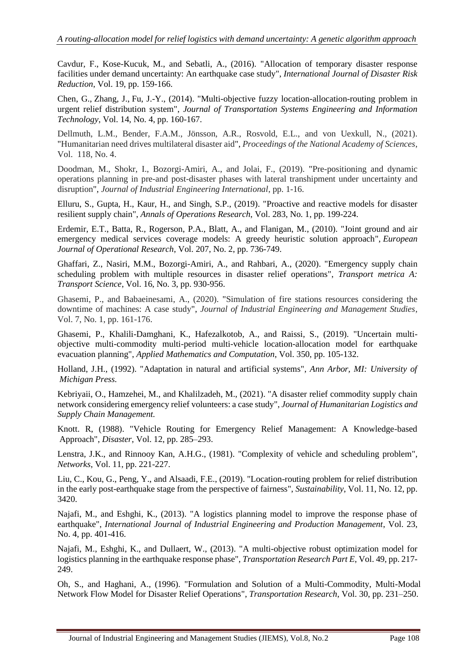Cavdur, F., Kose-Kucuk, M., and Sebatli, A., (2016). "Allocation of temporary disaster response facilities under demand uncertainty: An earthquake case study", *International Journal of Disaster Risk Reduction*, Vol. 19, pp. 159-166.

[Chen, G.,](https://www.scopus.com/authid/detail.uri?origin=resultslist&authorId=57113994300&zone=) [Zhang, J.,](https://www.scopus.com/authid/detail.uri?origin=resultslist&authorId=55866351600&zone=) [Fu, J.-Y.](https://www.scopus.com/authid/detail.uri?origin=resultslist&authorId=36671093500&zone=), (2014). "Multi-objective fuzzy location-allocation-routing problem in urgent relief distribution system", *[Journal of Transportation Systems Engineering and Information](https://www.scopus.com/sourceid/12400154717?origin=recordpage)  [Technology](https://www.scopus.com/sourceid/12400154717?origin=recordpage)*, Vol. 14, No. 4, pp. 160-167.

Dellmuth, L.M., Bender, F.A.M., Jönsson, A.R., Rosvold, E.L., and von Uexkull, N., (2021). "Humanitarian need drives multilateral disaster aid", *Proceedings of the National Academy of Sciences*, Vol. 118, No. 4.

Doodman, M., Shokr, I., Bozorgi-Amiri, A., and Jolai, F., (2019). "Pre-positioning and dynamic operations planning in pre-and post-disaster phases with lateral transhipment under uncertainty and disruption", *Journal of Industrial Engineering International*, pp. 1-16.

Elluru, S., Gupta, H., Kaur, H., and Singh, S.P., (2019). "Proactive and reactive models for disaster resilient supply chain", *Annals of Operations Research*, Vol. 283, No. 1, pp. 199-224.

Erdemir, E.T., Batta, R., Rogerson, P.A., Blatt, A., and Flanigan, M., (2010). "Joint ground and air emergency medical services coverage models: A greedy heuristic solution approach", *European Journal of Operational Research*, Vol. 207, No. 2, pp. 736-749.

Ghaffari, Z., Nasiri, M.M., Bozorgi-Amiri, A., and Rahbari, A., (2020). "Emergency supply chain scheduling problem with multiple resources in disaster relief operations", *Transport metrica A: Transport Science*, Vol. 16, No. 3, pp. 930-956.

Ghasemi, P., and Babaeinesami, A., (2020). "Simulation of fire stations resources considering the downtime of machines: A case study", *Journal of Industrial Engineering and Management Studies*, Vol. 7, No. 1, pp. 161-176.

Ghasemi, P., Khalili-Damghani, K., Hafezalkotob, A., and Raissi, S., (2019). "Uncertain multiobjective multi-commodity multi-period multi-vehicle location-allocation model for earthquake evacuation planning", *Applied Mathematics and Computation*, Vol. 350, pp. 105-132.

Holland, J.H., (1992). "Adaptation in natural and artificial systems", *Ann Arbor, MI: University of Michigan Press.*

Kebriyaii, O., Hamzehei, M., and Khalilzadeh, M., (2021). "A disaster relief commodity supply chain network considering emergency relief volunteers: a case study", *Journal of Humanitarian Logistics and Supply Chain Management.*

Knott. R, (1988). "Vehicle Routing for Emergency Relief Management: A Knowledge-based Approach", *Disaster*, Vol. 12, pp. 285–293.

Lenstra, J.K., and Rinnooy Kan, A.H.G., (1981). "Complexity of vehicle and scheduling problem", *Networks*, Vol. 11, pp. 221-227.

Liu, C., Kou, G., Peng, Y., and Alsaadi, F.E., (2019). "Location-routing problem for relief distribution in the early post-earthquake stage from the perspective of fairness", *Sustainability*, Vol. 11, No. 12, pp. 3420.

Najafi, M., and Eshghi, K., (2013). "A logistics planning model to improve the response phase of earthquake", *International Journal of Industrial Engineering and Production Management*, Vol. 23, No. 4, pp. 401-416.

Najafi, M., Eshghi, K., and Dullaert, W., (2013). "A multi-objective robust optimization model for logistics planning in the earthquake response phase", *Transportation Research Part E*, Vol. 49, pp. 217- 249.

Oh, S., and Haghani, A., (1996). "Formulation and Solution of a Multi-Commodity, Multi-Modal Network Flow Model for Disaster Relief Operations", *Transportation Research*, Vol. 30, pp. 231–250.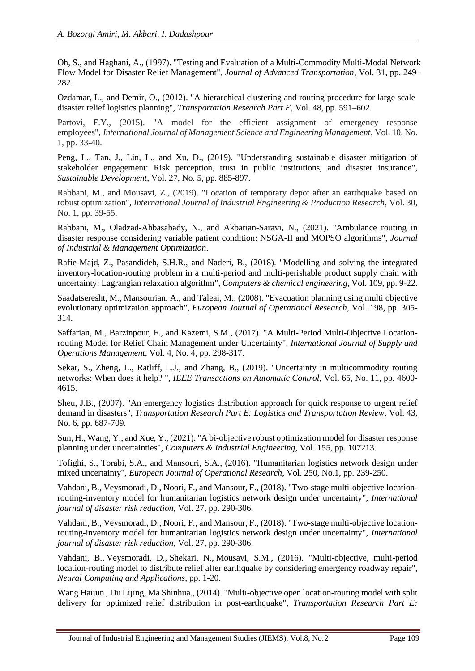Oh, S., and Haghani, A., (1997). "Testing and Evaluation of a Multi-Commodity Multi-Modal Network Flow Model for Disaster Relief Management", *Journal of Advanced Transportation*, Vol. 31, pp. 249– 282.

Ozdamar, L., and Demir, O., (2012). "A hierarchical clustering and routing procedure for large scale disaster relief logistics planning", *Transportation Research Part E*, Vol. 48, pp. 591–602.

Partovi, F.Y., (2015). "A model for the efficient assignment of emergency response employees", *International Journal of Management Science and Engineering Management*, Vol. 10, No. 1, pp. 33-40.

Peng, L., Tan, J., Lin, L., and Xu, D., (2019). "Understanding sustainable disaster mitigation of stakeholder engagement: Risk perception, trust in public institutions, and disaster insurance", *Sustainable Development*, Vol. 27, No. 5, pp. 885-897.

Rabbani, M., and Mousavi, Z., (2019). "Location of temporary depot after an earthquake based on robust optimization", *International Journal of Industrial Engineering & Production Research*, Vol. 30, No. 1, pp. 39-55.

Rabbani, M., Oladzad-Abbasabady, N., and Akbarian-Saravi, N., (2021). "Ambulance routing in disaster response considering variable patient condition: NSGA-II and MOPSO algorithms", *Journal of Industrial & Management Optimization*.

Rafie-Majd, Z., Pasandideh, S.H.R., and Naderi, B., (2018). "Modelling and solving the integrated inventory-location-routing problem in a multi-period and multi-perishable product supply chain with uncertainty: Lagrangian relaxation algorithm", *Computers & chemical engineering*, Vol. 109, pp. 9-22.

Saadatseresht, M., Mansourian, A., and Taleai, M., (2008). "Evacuation planning using multi objective evolutionary optimization approach", *European Journal of Operational Research*, Vol. 198, pp. 305- 314.

Saffarian, M., Barzinpour, F., and Kazemi, S.M., (2017). "A Multi-Period Multi-Objective Locationrouting Model for Relief Chain Management under Uncertainty", *International Journal of Supply and Operations Management*, Vol. 4, No. 4, pp. 298-317.

Sekar, S., Zheng, L., Ratliff, L.J., and Zhang, B., (2019). "Uncertainty in multicommodity routing networks: When does it help? ", *IEEE Transactions on Automatic Control*, Vol. 65, No. 11, pp. 4600- 4615.

Sheu, J.B., (2007). "An emergency logistics distribution approach for quick response to urgent relief demand in disasters", *Transportation Research Part E: Logistics and Transportation Review*, Vol. 43, No. 6, pp. 687-709.

Sun, H., Wang, Y., and Xue, Y., (2021). "A bi-objective robust optimization model for disaster response planning under uncertainties", *Computers & Industrial Engineering*, Vol. 155, pp. 107213.

Tofighi, S., Torabi, S.A., and Mansouri, S.A., (2016). "Humanitarian logistics network design under mixed uncertainty", *European Journal of Operational Research*, Vol. 250, No.1, pp. 239-250.

Vahdani, B., Veysmoradi, D., Noori, F., and Mansour, F., (2018). "Two-stage multi-objective locationrouting-inventory model for humanitarian logistics network design under uncertainty", *International journal of disaster risk reduction*, Vol. 27, pp. 290-306.

Vahdani, B., Veysmoradi, D., Noori, F., and Mansour, F., (2018). "Two-stage multi-objective locationrouting-inventory model for humanitarian logistics network design under uncertainty", *International journal of disaster risk reduction*, Vol. 27, pp. 290-306.

[Vahdani, B.,](https://www.scopus.com/authid/detail.uri?origin=resultslist&authorId=26644463900&zone=) [Veysmoradi, D.,](https://www.scopus.com/authid/detail.uri?origin=resultslist&authorId=57192089751&zone=) [Shekari, N.,](https://www.scopus.com/authid/detail.uri?origin=resultslist&authorId=36144505900&zone=) [Mousavi, S.M.,](https://www.scopus.com/authid/detail.uri?origin=resultslist&authorId=35311503200&zone=) (2016). "Multi-objective, multi-period location-routing model to distribute relief after earthquake by considering emergency roadway repair", *Neural Computing and Applications*, pp. 1-20.

Wan[g Haijun ,](http://www.sciencedirect.com/science/article/pii/S136655451400101X) Du Lijing, Ma Shinhua., (2014). "Multi-objective open location-routing model with split delivery for optimized relief distribution in post-earthquake", *[Transportation Research Part E:](http://www.sciencedirect.com/science/journal/13665545)*